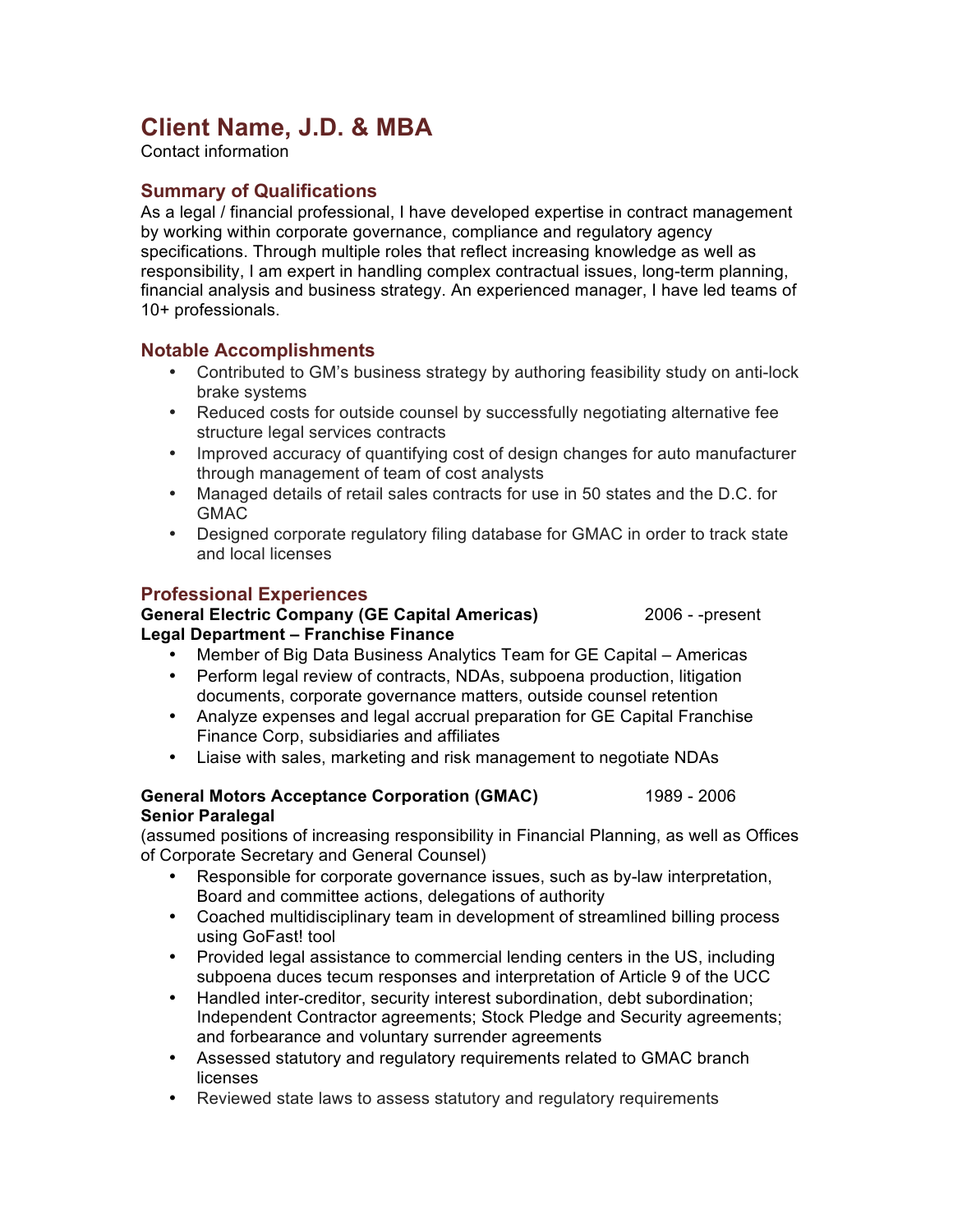# **Client Name, J.D. & MBA**

Contact information

# **Summary of Qualifications**

As a legal / financial professional, I have developed expertise in contract management by working within corporate governance, compliance and regulatory agency specifications. Through multiple roles that reflect increasing knowledge as well as responsibility, I am expert in handling complex contractual issues, long-term planning, financial analysis and business strategy. An experienced manager, I have led teams of 10+ professionals.

## **Notable Accomplishments**

- Contributed to GM's business strategy by authoring feasibility study on anti-lock brake systems
- Reduced costs for outside counsel by successfully negotiating alternative fee structure legal services contracts
- Improved accuracy of quantifying cost of design changes for auto manufacturer through management of team of cost analysts
- Managed details of retail sales contracts for use in 50 states and the D.C. for GMAC
- Designed corporate regulatory filing database for GMAC in order to track state and local licenses

# **Professional Experiences**

## **General Electric Company (GE Capital Americas)** 2006 - -present **Legal Department – Franchise Finance**

• Member of Big Data Business Analytics Team for GE Capital – Americas

- Perform legal review of contracts, NDAs, subpoena production, litigation documents, corporate governance matters, outside counsel retention
- Analyze expenses and legal accrual preparation for GE Capital Franchise Finance Corp, subsidiaries and affiliates
- Liaise with sales, marketing and risk management to negotiate NDAs

## **General Motors Acceptance Corporation (GMAC)** 1989 - 2006 **Senior Paralegal**

(assumed positions of increasing responsibility in Financial Planning, as well as Offices of Corporate Secretary and General Counsel)

- Responsible for corporate governance issues, such as by-law interpretation, Board and committee actions, delegations of authority
- Coached multidisciplinary team in development of streamlined billing process using GoFast! tool
- Provided legal assistance to commercial lending centers in the US, including subpoena duces tecum responses and interpretation of Article 9 of the UCC
- Handled inter-creditor, security interest subordination, debt subordination; Independent Contractor agreements; Stock Pledge and Security agreements; and forbearance and voluntary surrender agreements
- Assessed statutory and regulatory requirements related to GMAC branch licenses
- Reviewed state laws to assess statutory and regulatory requirements